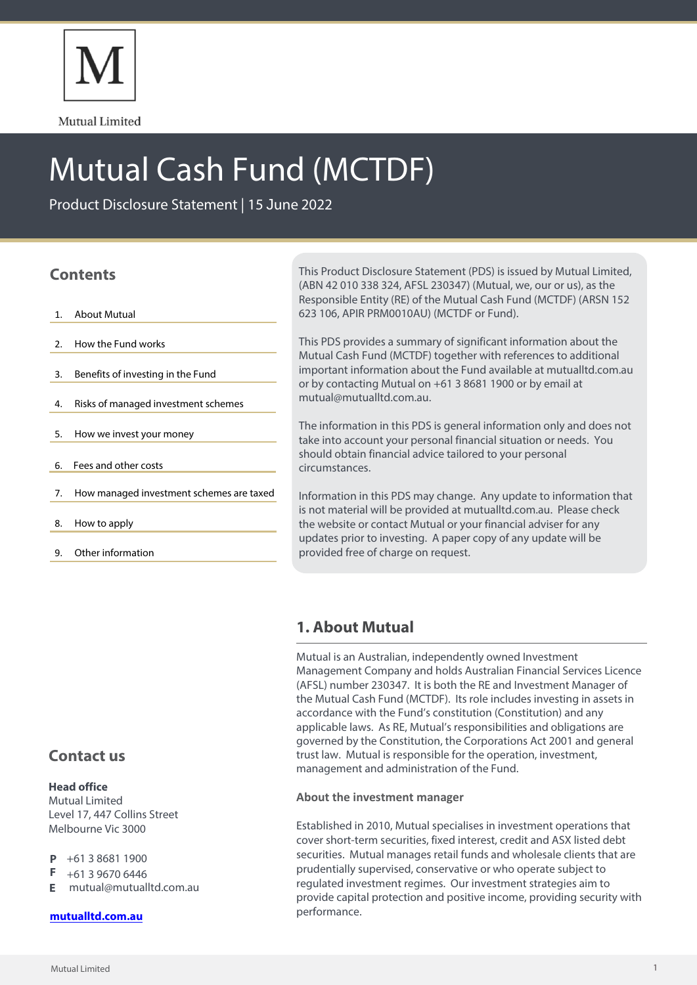

Mutual Limited

# Mutual Cash Fund (MCTDF)

Product Disclosure Statement | 15 June 2022

# **Contents**

- 1. About Mutual
- 2. How the Fund works
- 3. Benefits of investing in the Fund
- 4. Risks of managed investment schemes
- 5. How we invest your money
- 6. Fees and other costs
- 7. How managed investment schemes are taxed
- 8. How to apply
- 9. Other information

This Product Disclosure Statement (PDS) is issued by Mutual Limited, (ABN 42 010 338 324, AFSL 230347) (Mutual, we, our or us), as the Responsible Entity (RE) of the Mutual Cash Fund (MCTDF) (ARSN 152 623 106, APIR PRM0010AU) (MCTDF or Fund).

This PDS provides a summary of significant information about the Mutual Cash Fund (MCTDF) together with references to additional important information about the Fund available at mutualltd.com.au or by contacting Mutual on +61 3 8681 1900 or by email at mutual@mutualltd.com.au.

The information in this PDS is general information only and does not take into account your personal financial situation or needs. You should obtain financial advice tailored to your personal circumstances.

Information in this PDS may change. Any update to information that is not material will be provided at mutualltd.com.au. Please check the website or contact Mutual or your financial adviser for any updates prior to investing. A paper copy of any update will be provided free of charge on request.

# **1. About Mutual**

Mutual is an Australian, independently owned Investment Management Company and holds Australian Financial Services Licence (AFSL) number 230347. It is both the RE and Investment Manager of the Mutual Cash Fund (MCTDF). Its role includes investing in assets in accordance with the Fund's constitution (Constitution) and any applicable laws. As RE, Mutual's responsibilities and obligations are governed by the Constitution, the Corporations Act 2001 and general trust law. Mutual is responsible for the operation, investment, management and administration of the Fund.

## **About the investment manager**

Established in 2010, Mutual specialises in investment operations that cover short-term securities, fixed interest, credit and ASX listed debt securities. Mutual manages retail funds and wholesale clients that are prudentially supervised, conservative or who operate subject to regulated investment regimes. Our investment strategies aim to provide capital protection and positive income, providing security with performance.

# **Contact us**

## **Head office**

Mutual Limited Level 17, 447 Collins Street Melbourne Vic 3000

- $P$  +61 3 8681 1900
- F +61 3 9670 6446
- mutual@mutualltd.com.au **E**

## **[mutualltd.com.au](www.mutualltd.com.au)**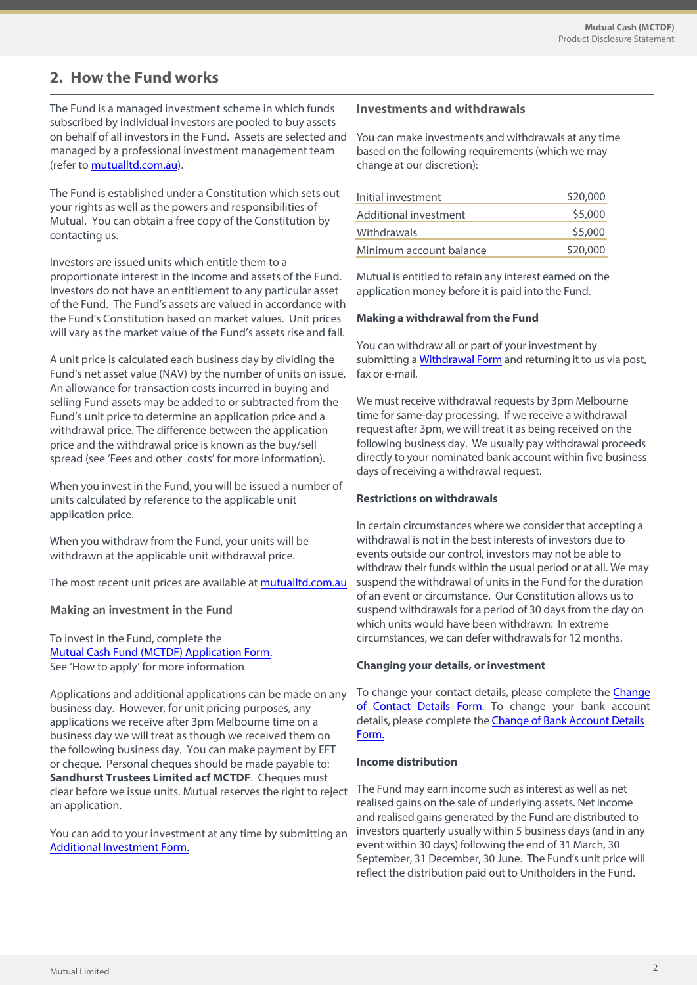# **2. How the Fund works**

The Fund is a managed investment scheme in which funds subscribed by individual investors are pooled to buy assets on behalf of all investors in the Fund. Assets are selected and managed by a professional investment management team (refer to [mutualltd.com.au\)](mutualltd.com.au).

The Fund is established under a Constitution which sets out your rights as well as the powers and responsibilities of Mutual. You can obtain a free copy of the Constitution by contacting us.

Investors are issued units which entitle them to a proportionate interest in the income and assets of the Fund. Investors do not have an entitlement to any particular asset of the Fund. The Fund's assets are valued in accordance with the Fund's Constitution based on market values. Unit prices will vary as the market value of the Fund's assets rise and fall.

A unit price is calculated each business day by dividing the Fund's net asset value (NAV) by the number of units on issue. An allowance for transaction costs incurred in buying and selling Fund assets may be added to or subtracted from the Fund's unit price to determine an application price and a withdrawal price. The difference between the application price and the withdrawal price is known as the buy/sell spread (see 'Fees and other costs' for more information).

When you invest in the Fund, you will be issued a number of units calculated by reference to the applicable unit application price.

When you withdraw from the Fund, your units will be withdrawn at the applicable unit withdrawal price.

The most recent unit prices are available at<mutualltd.com.au>

## **Making an investment in the Fund**

To invest in the Fund, complete the Mutual Cash [Fund \(MCTDF\) Application Form.](https://www.mutualltd.com.au/2019/wp-content/uploads/2022/06/Mutual-Limited-Mutual-Cash-MCTDF-Application-Form.pdf) See 'How to apply' for more information

clear before we issue units. Mutual reserves the right to reject The Fund may earn income such as interest as well as net Applications and additional applications can be made on any business day. However, for unit pricing purposes, any applications we receive after 3pm Melbourne time on a business day we will treat as though we received them on the following business day. You can make payment by EFT or cheque. Personal cheques should be made payable to: **Sandhurst Trustees Limited acf MCTDF**. Cheques must an application.

You can add to your investment at any time by submitting an [Additional Investment Form.](https://www.mutualltd.com.au/2019/wp-content/uploads/2022/06/Mutual-Limited-Mutual-Cash-MCTDF-Additional-Investment-Form.pdf) 

## **Investments and withdrawals**

You can make investments and withdrawals at any time based on the following requirements (which we may change at our discretion):

| Initial investment      | \$20,000 |
|-------------------------|----------|
| Additional investment   | \$5,000  |
| Withdrawals             | \$5,000  |
| Minimum account balance | \$20,000 |

Mutual is entitled to retain any interest earned on the application money before it is paid into the Fund.

#### **Making a withdrawal from the Fund**

You can withdraw all or part of your investment by submitting a [Withdrawal Form](https://www.mutualltd.com.au/2019/wp-content/uploads/2022/06/Mutual-Limited-Withdrawal-Form.pdf) and returning it to us via post, fax or e-mail.

We must receive withdrawal requests by 3pm Melbourne time for same-day processing. If we receive a withdrawal request after 3pm, we will treat it as being received on the following business day. We usually pay withdrawal proceeds directly to your nominated bank account within five business days of receiving a withdrawal request.

## **Restrictions on withdrawals**

In certain circumstances where we consider that accepting a withdrawal is not in the best interests of investors due to events outside our control, investors may not be able to withdraw their funds within the usual period or at all. We may suspend the withdrawal of units in the Fund for the duration of an event or circumstance. Our Constitution allows us to suspend withdrawals for a period of 30 days from the day on which units would have been withdrawn. In extreme circumstances, we can defer withdrawals for 12months.

#### **Changing your details, or investment**

To change your contact details, please complete the [Change](https://www.mutualltd.com.au/2019/wp-content/uploads/2022/06/Mutual-Limited-Change-of-Contact-Details-Form.pdf)  of [Contact](https://www.mutualltd.com.au/2019/wp-content/uploads/2022/06/Mutual-Limited-Change-of-Contact-Details-Form.pdf) Details Form. To change your bank account details, please complete the **Change of Bank Account Details** [Form.](https://www.mutualltd.com.au/2019/wp-content/uploads/2022/06/Mutual-Limited-Change-of-Bank-Account-Details-Form.pdf)

#### **Income distribution**

realised gains on the sale of underlying assets. Net income and realised gains generated by the Fund are distributed to investors quarterly usually within 5 business days (and in any event within 30 days) following the end of 31 March, 30 September, 31 December, 30 June. The Fund's unit price will reflect the distribution paid out to Unitholders in the Fund.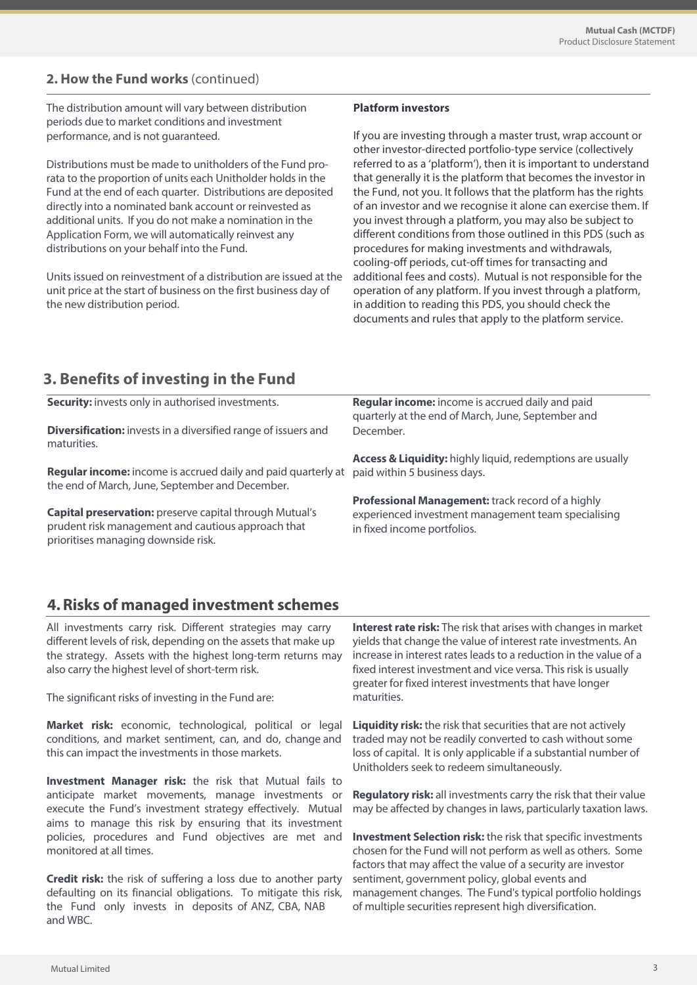## **2. How the Fund works** (continued)

The distribution amount will vary between distribution periods due to market conditions and investment performance, and is not guaranteed.

Distributions must be made to unitholders of the Fund prorata to the proportion of units each Unitholder holds in the Fund at the end of each quarter. Distributions are deposited directly into a nominated bank account or reinvested as additional units. If you do not make a nomination in the Application Form, we will automatically reinvest any distributions on your behalf into the Fund.

Units issued on reinvestment of a distribution are issued at the unit price at the start of business on the first business day of the new distribution period.

#### **Platform investors**

If you are investing through a master trust, wrap account or other investor-directed portfolio-type service (collectively referred to as a 'platform'), then it is important to understand that generally it is the platform that becomes the investor in the Fund, not you. It follows that the platform has the rights of an investor and we recognise it alone can exercise them. If you invest through a platform, you may also be subject to different conditions from those outlined in this PDS (such as procedures for making investments and withdrawals, cooling-off periods, cut-off times for transacting and additional fees and costs). Mutual is not responsible for the operation of any platform. If you invest through a platform, in addition to reading this PDS, you should check the documents and rules that apply to the platform service.

# **3. Benefits of investing in the Fund**

| <b>Security:</b> invests only in authorised investments.                                                                                             | Regular income: income is accrued daily and paid<br>quarterly at the end of March, June, September and |
|------------------------------------------------------------------------------------------------------------------------------------------------------|--------------------------------------------------------------------------------------------------------|
| <b>Diversification:</b> invests in a diversified range of issuers and<br>maturities.                                                                 | December.                                                                                              |
|                                                                                                                                                      | Access & Liquidity: highly liquid, redemptions are usually                                             |
| Regular income: income is accrued daily and paid quarterly at<br>the end of March, June, September and December.                                     | paid within 5 business days.                                                                           |
|                                                                                                                                                      | Professional Management: track record of a highly                                                      |
| Capital preservation: preserve capital through Mutual's<br>prudent risk management and cautious approach that<br>prioritises managing downside risk. | experienced investment management team specialising<br>in fixed income portfolios.                     |
|                                                                                                                                                      |                                                                                                        |

# **4. Risks of managed investment schemes**

All investments carry risk. Different strategies may carry different levels of risk, depending on the assets that make up the strategy. Assets with the highest long-term returns may also carry the highest level of short-term risk.

The significant risks of investing in the Fund are:

**Market risk:** economic, technological, political or legal conditions, and market sentiment, can, and do, change and this can impact the investments in those markets.

**Investment Manager risk:** the risk that Mutual fails to anticipate market movements, manage investments or execute the Fund's investment strategy effectively. Mutual aims to manage this risk by ensuring that its investment policies, procedures and Fund objectives are met and monitored at all times.

**Credit risk:** the risk of suffering a loss due to another party defaulting on its financial obligations. To mitigate this risk, the Fund only invests in deposits of ANZ, CBA, NAB and WBC.

**Interest rate risk:** The risk that arises with changes in market yields that change the value of interest rate investments. An increase in interest rates leads to a reduction in the value of a fixed interest investment and vice versa. This risk is usually greater for fixed interest investments that have longer maturities.

**Liquidity risk:** the risk that securities that are not actively traded may not be readily converted to cash without some loss of capital. It is only applicable if a substantial number of Unitholders seek to redeem simultaneously.

**Regulatory risk:** all investments carry the risk that their value may be affected by changes in laws, particularly taxation laws.

**Investment Selection risk:** the risk that specific investments chosen for the Fund will not perform as well as others. Some factors that may affect the value of a security are investor sentiment, government policy, global events and management changes. The Fund's typical portfolio holdings of multiple securities represent high diversification.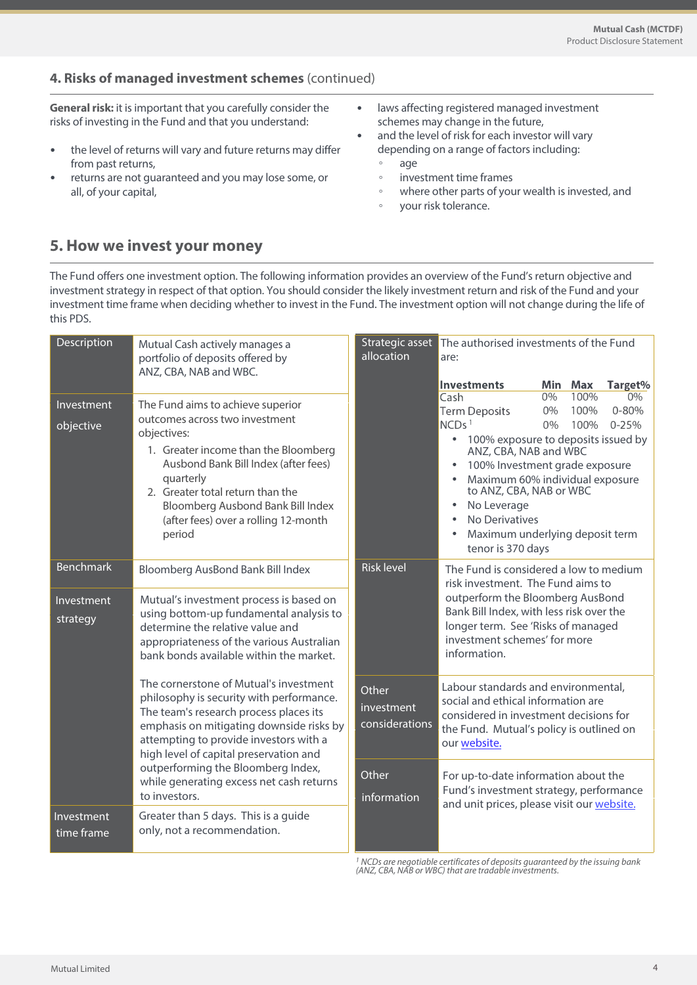## **4. Risks of managed investment schemes** (continued)

**General risk:** it is important that you carefully consider the risks of investing in the Fund and that you understand:

- the level of returns will vary and future returns may differ from past returns,
- returns are not guaranteed and you may lose some, or all, of your capital,
- laws affecting registered managed investment schemes may change in the future,
- and the level of risk for each investor will vary depending on a range of factors including: ◦ age
	- investment time frames
	- where other parts of your wealth is invested, and
	- your risk tolerance.

# **5. How we invest your money**

The Fund offers one investment option. The following information provides an overview of the Fund's return objective and investment strategy in respect of that option. You should consider the likely investment return and risk of the Fund and your investment time frame when deciding whether to invest in the Fund. The investment option will not change during the life of this PDS.

| Description                                                                                     | Mutual Cash actively manages a<br>portfolio of deposits offered by<br>ANZ, CBA, NAB and WBC.                                                                                                                                                                                                               | Strategic asset<br>allocation         | The authorised investments of the Fund<br>are:                                                                                                                                                                                                                                                                               |                      |                      |                              |
|-------------------------------------------------------------------------------------------------|------------------------------------------------------------------------------------------------------------------------------------------------------------------------------------------------------------------------------------------------------------------------------------------------------------|---------------------------------------|------------------------------------------------------------------------------------------------------------------------------------------------------------------------------------------------------------------------------------------------------------------------------------------------------------------------------|----------------------|----------------------|------------------------------|
|                                                                                                 |                                                                                                                                                                                                                                                                                                            |                                       | <b>Investments</b>                                                                                                                                                                                                                                                                                                           |                      | Min Max              | Target%                      |
| Investment<br>objective                                                                         | The Fund aims to achieve superior<br>outcomes across two investment<br>objectives:<br>1. Greater income than the Bloomberg<br>Ausbond Bank Bill Index (after fees)<br>quarterly<br>2. Greater total return than the<br>Bloomberg Ausbond Bank Bill Index<br>(after fees) over a rolling 12-month<br>period |                                       | Cash<br><b>Term Deposits</b><br>NCDs <sup>1</sup><br>100% exposure to deposits issued by<br>$\bullet$<br>ANZ, CBA, NAB and WBC<br>100% Investment grade exposure<br>Maximum 60% individual exposure<br>to ANZ, CBA, NAB or WBC<br>No Leverage<br>٠<br>No Derivatives<br>Maximum underlying deposit term<br>tenor is 370 days | $0\%$<br>0%<br>$0\%$ | 100%<br>100%<br>100% | 0%<br>$0 - 80%$<br>$0 - 25%$ |
| <b>Benchmark</b>                                                                                | Bloomberg AusBond Bank Bill Index                                                                                                                                                                                                                                                                          | <b>Risk level</b>                     | The Fund is considered a low to medium                                                                                                                                                                                                                                                                                       |                      |                      |                              |
| Investment<br>strategy                                                                          | Mutual's investment process is based on<br>using bottom-up fundamental analysis to<br>determine the relative value and<br>appropriateness of the various Australian<br>bank bonds available within the market.                                                                                             |                                       | risk investment. The Fund aims to<br>outperform the Bloomberg AusBond<br>Bank Bill Index, with less risk over the<br>longer term. See 'Risks of managed<br>investment schemes' for more<br>information.                                                                                                                      |                      |                      |                              |
|                                                                                                 | The cornerstone of Mutual's investment<br>philosophy is security with performance.<br>The team's research process places its<br>emphasis on mitigating downside risks by<br>attempting to provide investors with a<br>high level of capital preservation and                                               | Other<br>investment<br>considerations | Labour standards and environmental,<br>social and ethical information are<br>considered in investment decisions for<br>the Fund. Mutual's policy is outlined on<br>our website.                                                                                                                                              |                      |                      |                              |
| outperforming the Bloomberg Index,<br>while generating excess net cash returns<br>to investors. |                                                                                                                                                                                                                                                                                                            | Other<br>information                  | For up-to-date information about the<br>Fund's investment strategy, performance<br>and unit prices, please visit our website.                                                                                                                                                                                                |                      |                      |                              |
| Investment<br>time frame                                                                        | Greater than 5 days. This is a guide<br>only, not a recommendation.                                                                                                                                                                                                                                        |                                       |                                                                                                                                                                                                                                                                                                                              |                      |                      |                              |

<sup>1</sup> NCDs are negotiable certificates of deposits guaranteed by the issuing bank<br>(ANZ, CBA, NAB or WBC) that are tradable investments.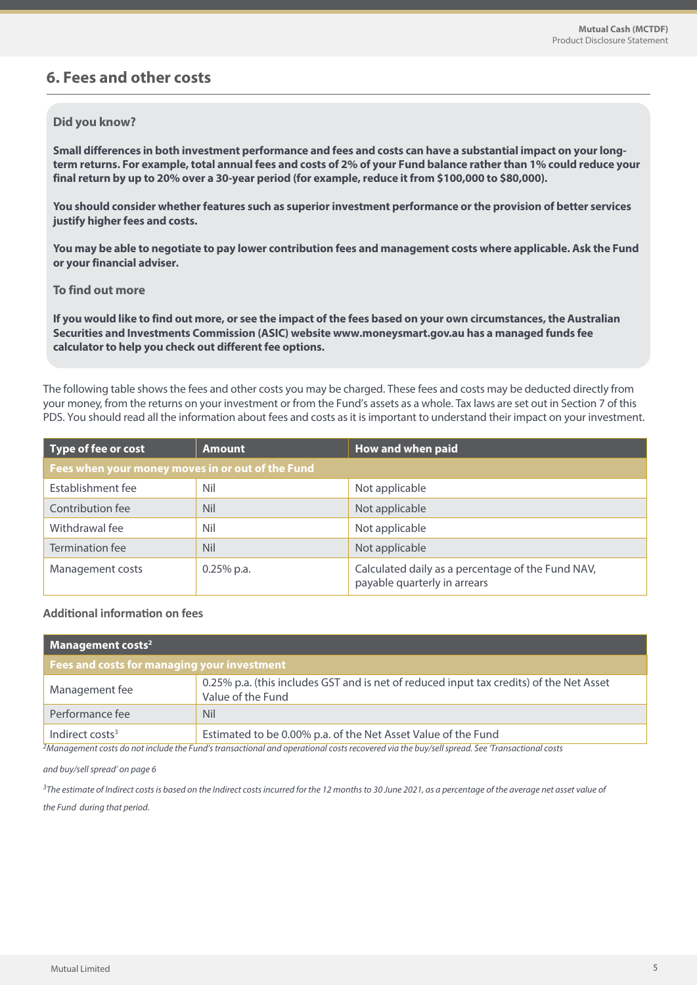## **6. Fees and other costs**

## **Did you know?**

**Small differences in both investment performance and fees and costs can have a substantial impact on your longterm returns. For example, total annual fees and costs of 2% of your Fund balance rather than 1% could reduce your final return by up to 20% over a 30-year period (for example, reduce it from \$100,000 to \$80,000).**

**You should consider whether features such as superior investment performance or the provision of better services justify higher fees and costs.**

**You may be able to negotiate to pay lower contribution fees and management costs where applicable. Ask the Fund or your financial adviser.**

## **To find out more**

**If you would like to find out more, or see the impact of the fees based on your own circumstances, the Australian Securities and Investments Commission (ASIC) website www.moneysmart.gov.au has a managed funds fee calculator to help you check out different fee options.**

The following table shows the fees and other costs you may be charged. These fees and costs may be deducted directly from your money, from the returns on your investment or from the Fund's assets as a whole. Tax laws are set out in Section 7 of this PDS. You should read all the information about fees and costs as it is important to understand their impact on your investment.

| Type of fee or cost                              | <b>Amount</b> | How and when paid                                                                 |  |  |
|--------------------------------------------------|---------------|-----------------------------------------------------------------------------------|--|--|
| Fees when your money moves in or out of the Fund |               |                                                                                   |  |  |
| Establishment fee                                | Nil           | Not applicable                                                                    |  |  |
| Contribution fee                                 | <b>Nil</b>    | Not applicable                                                                    |  |  |
| Withdrawal fee                                   | Nil           | Not applicable                                                                    |  |  |
| Termination fee                                  | <b>Nil</b>    | Not applicable                                                                    |  |  |
| Management costs                                 | $0.25\%$ p.a. | Calculated daily as a percentage of the Fund NAV,<br>payable quarterly in arrears |  |  |

## **Additional information on fees**

| Management costs <sup>2</sup>               |                                                                                                              |  |
|---------------------------------------------|--------------------------------------------------------------------------------------------------------------|--|
| Fees and costs for managing your investment |                                                                                                              |  |
| Management fee                              | 0.25% p.a. (this includes GST and is net of reduced input tax credits) of the Net Asset<br>Value of the Fund |  |
| Performance fee                             | <b>Nil</b>                                                                                                   |  |
| Indirect costs <sup>3</sup>                 | Estimated to be 0.00% p.a. of the Net Asset Value of the Fund                                                |  |

<sup>2</sup>Management costs do not include the Fund's transactional and operational costs recovered via the buy/sell spread. See Transactional costs

and buy/sell spread' on page 6

<sup>3</sup>The estimate of Indirect costs is based on the Indirect costs incurred for the 12 months to 30 June 2021, as a percentage of the average net asset value of

the Fund during that period.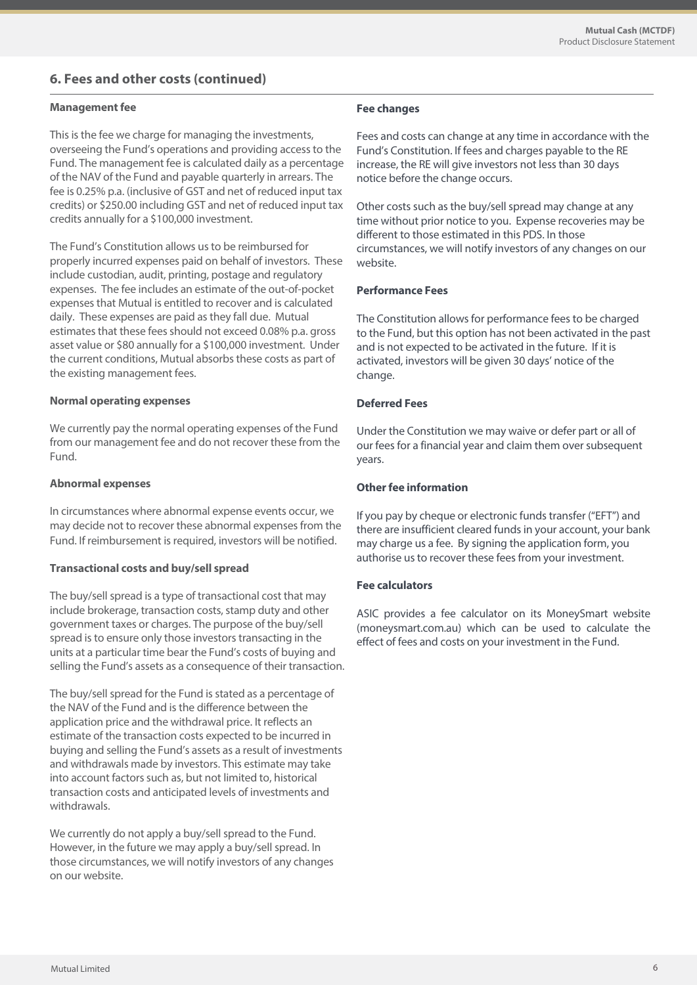## **6. Fees and other costs (continued)**

#### **Management fee**

This is the fee we charge for managing the investments, overseeing the Fund's operations and providing access to the Fund. The management fee is calculated daily as a percentage of the NAV of the Fund and payable quarterly in arrears. The fee is 0.25% p.a. (inclusive of GST and net of reduced input tax credits) or \$250.00 including GST and net of reduced input tax credits annually for a \$100,000 investment.

The Fund's Constitution allows us to be reimbursed for properly incurred expenses paid on behalf of investors. These include custodian, audit, printing, postage and regulatory expenses. The fee includes an estimate of the out-of-pocket expenses that Mutual is entitled to recover and is calculated daily. These expenses are paid as they fall due. Mutual estimates that these fees should not exceed 0.08% p.a. gross asset value or \$80 annually for a \$100,000 investment. Under the current conditions, Mutual absorbs these costs as part of the existing management fees.

#### **Normal operating expenses**

We currently pay the normal operating expenses of the Fund from our management fee and do not recover these from the Fund.

#### **Abnormal expenses**

In circumstances where abnormal expense events occur, we may decide not to recover these abnormal expenses from the Fund. If reimbursement is required, investors will be notified.

## **Transactional costs and buy/sell spread**

The buy/sell spread is a type of transactional cost that may include brokerage, transaction costs, stamp duty and other government taxes or charges. The purpose of the buy/sell spread is to ensure only those investors transacting in the units at a particular time bear the Fund's costs of buying and selling the Fund's assets as a consequence of their transaction.

The buy/sell spread for the Fund is stated as a percentage of the NAV of the Fund and is the difference between the application price and the withdrawal price. It reflects an estimate of the transaction costs expected to be incurred in buying and selling the Fund's assets as a result of investments and withdrawals made by investors. This estimate may take into account factors such as, but not limited to, historical transaction costs and anticipated levels of investments and withdrawals.

We currently do not apply a buy/sell spread to the Fund. However, in the future we may apply a buy/sell spread. In those circumstances, we will notify investors of any changes on our website.

## **Fee changes**

Fees and costs can change at any time in accordance with the Fund's Constitution. If fees and charges payable to the RE increase, the RE will give investors not less than 30 days notice before the change occurs.

Other costs such as the buy/sell spread may change at any time without prior notice to you. Expense recoveries may be different to those estimated in this PDS. In those circumstances, we will notify investors of any changes on our website.

## **Performance Fees**

The Constitution allows for performance fees to be charged to the Fund, but this option has not been activated in the past and is not expected to be activated in the future. If it is activated, investors will be given 30 days' notice of the change.

## **Deferred Fees**

Under the Constitution we may waive or defer part or all of our fees for a financial year and claim them over subsequent years.

## **Other fee information**

If you pay by cheque or electronic funds transfer ("EFT") and there are insufficient cleared funds in your account, your bank may charge us a fee. By signing the application form, you authorise us to recover these fees from your investment.

## **Fee calculators**

ASIC provides a fee calculator on its MoneySmart website (moneysmart.com.au) which can be used to calculate the effect of fees and costs on your investment in the Fund.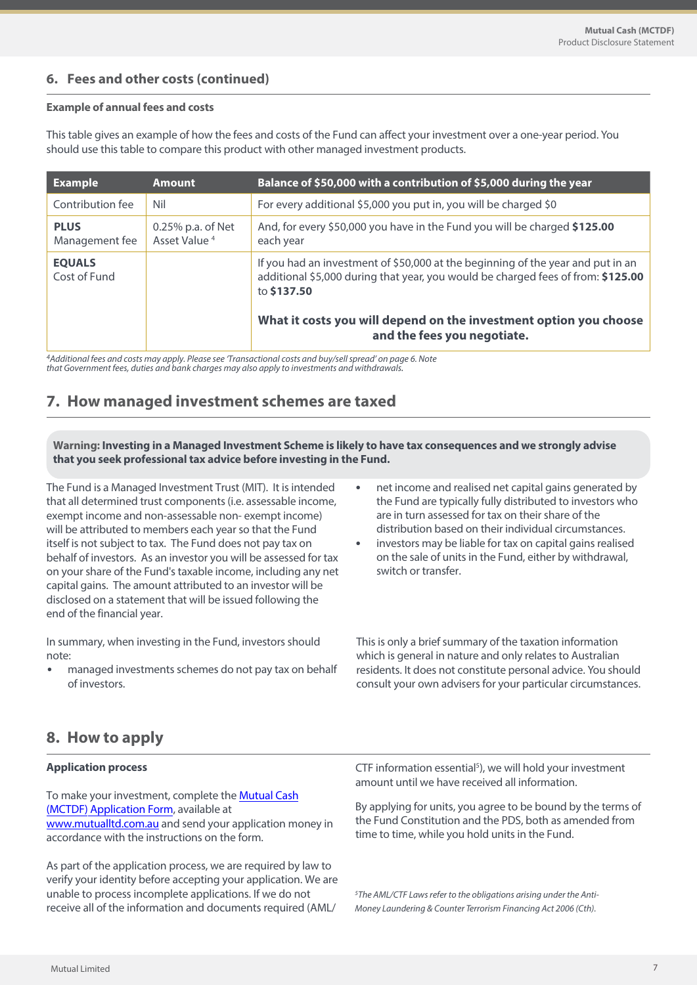## **6. Fees and other costs (continued)**

## **Example of annual fees and costs**

This table gives an example of how the fees and costs of the Fund can affect your investment over a one-year period. You should use this table to compare this product with other managed investment products.

| <b>Example</b>                | <b>Amount</b>                                    | Balance of \$50,000 with a contribution of \$5,000 during the year                                                                                                                 |
|-------------------------------|--------------------------------------------------|------------------------------------------------------------------------------------------------------------------------------------------------------------------------------------|
| Contribution fee              | Nil                                              | For every additional \$5,000 you put in, you will be charged \$0                                                                                                                   |
| <b>PLUS</b><br>Management fee | $0.25\%$ p.a. of Net<br>Asset Value <sup>4</sup> | And, for every \$50,000 you have in the Fund you will be charged \$125.00<br>each year                                                                                             |
| <b>EQUALS</b><br>Cost of Fund |                                                  | If you had an investment of \$50,000 at the beginning of the year and put in an<br>additional \$5,000 during that year, you would be charged fees of from: \$125.00<br>to \$137.50 |
|                               |                                                  | What it costs you will depend on the investment option you choose<br>and the fees you negotiate.                                                                                   |

<sup>4</sup>Additional fees and costs may apply. Please see 'Transactional costs and buy/sell spread' on page 6. Note that Government fees, duties and bank charges may also apply to investments and withdrawals.

# **7. How managed investment schemes are taxed**

**Warning: Investing in a Managed Investment Scheme is likely to have tax consequences and we strongly advise that you seek professional tax advice before investing in the Fund.**

The Fund is a Managed Investment Trust (MIT). It is intended that all determined trust components (i.e. assessable income, exempt income and non-assessable non- exempt income) will be attributed to members each year so that the Fund itself is not subject to tax. The Fund does not pay tax on behalf of investors. As an investor you will be assessed for tax on your share of the Fund's taxable income, including any net capital gains. The amount attributed to an investor will be disclosed on a statement that will be issued following the end of the financial year.

In summary, when investing in the Fund, investors should note:

• managed investments schemes do not pay tax on behalf of investors.

- net income and realised net capital gains generated by the Fund are typically fully distributed to investors who are in turn assessed for tax on their share of the distribution based on their individual circumstances.
- investors may be liable for tax on capital gains realised on the sale of units in the Fund, either by withdrawal, switch or transfer.

This is only a brief summary of the taxation information which is general in nature and only relates to Australian residents. It does not constitute personal advice. You should consult your own advisers for your particular circumstances.

# **8. How to apply**

## **Application process**

To make your investment, complete th[e Mutual Cash](https://www.mutualltd.com.au/2019/wp-content/uploads/2022/06/Mutual-Limited-Mutual-Cash-MCTDF-Application-Form.pdf)  (MCTDF) [Application Form, av](https://www.mutualltd.com.au/2019/wp-content/uploads/2022/06/Mutual-Limited-Mutual-Cash-MCTDF-Application-Form.pdf)ailable at [www.mutualltd.com.au](mutualltd.com.au) [a](https://www.mutualltd.com.au/funds/#MIF)nd send your application money in accordance with the instructions on the form.

As part of the application process, we are required by law to verify your identity before accepting your application. We are unable to process incomplete applications. If we do not receive all of the information and documents required (AML/

CTF information essential<sup>5</sup>), we will hold your investment amount until we have received all information.

By applying for units, you agree to be bound by the terms of the Fund Constitution and the PDS, both as amended from time to time, while you hold units in the Fund.

<sup>5</sup>The AML/CTF Laws refer to the obligations arising under the Anti-Money Laundering & Counter Terrorism Financing Act 2006 (Cth).